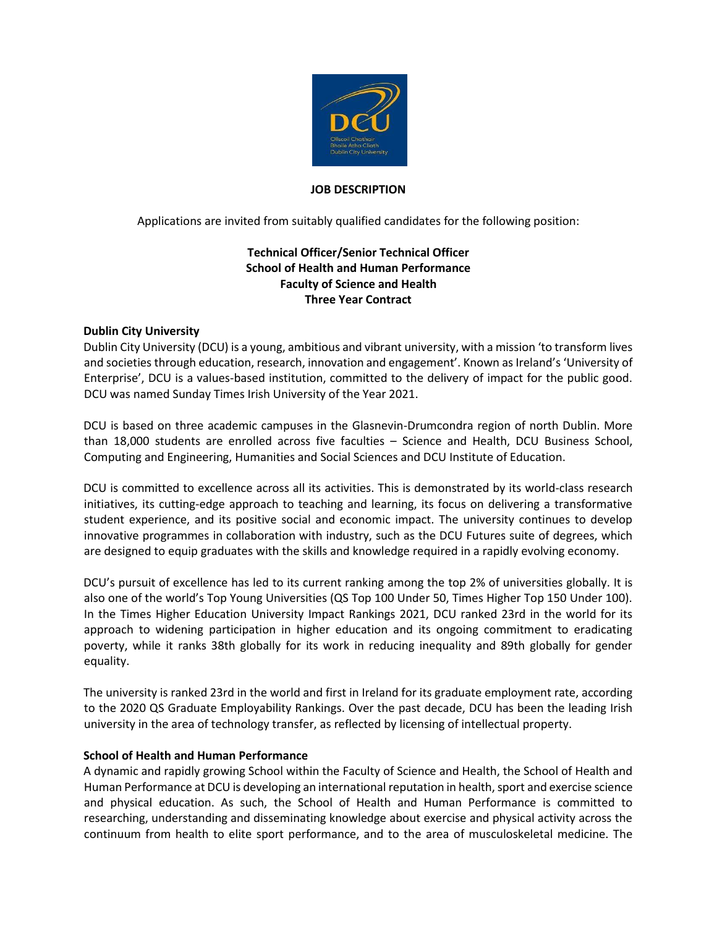

#### **JOB DESCRIPTION**

Applications are invited from suitably qualified candidates for the following position:

# **Technical Officer/Senior Technical Officer School of Health and Human Performance Faculty of Science and Health Three Year Contract**

#### **Dublin City University**

Dublin City University (DCU) is a young, ambitious and vibrant university, with a mission 'to transform lives and societies through education, research, innovation and engagement'. Known as Ireland's 'University of Enterprise', DCU is a values-based institution, committed to the delivery of impact for the public good. DCU was named Sunday Times Irish University of the Year 2021.

DCU is based on three academic campuses in the Glasnevin-Drumcondra region of north Dublin. More than 18,000 students are enrolled across five faculties – Science and Health, DCU Business School, Computing and Engineering, Humanities and Social Sciences and DCU Institute of Education.

DCU is committed to excellence across all its activities. This is demonstrated by its world-class research initiatives, its cutting-edge approach to teaching and learning, its focus on delivering a transformative student experience, and its positive social and economic impact. The university continues to develop innovative programmes in collaboration with industry, such as the DCU Futures suite of degrees, which are designed to equip graduates with the skills and knowledge required in a rapidly evolving economy.

DCU's pursuit of excellence has led to its current ranking among the top 2% of universities globally. It is also one of the world's Top Young Universities (QS Top 100 Under 50, Times Higher Top 150 Under 100). In the Times Higher Education University Impact Rankings 2021, DCU ranked 23rd in the world for its approach to widening participation in higher education and its ongoing commitment to eradicating poverty, while it ranks 38th globally for its work in reducing inequality and 89th globally for gender equality.

The university is ranked 23rd in the world and first in Ireland for its graduate employment rate, according to the 2020 QS Graduate Employability Rankings. Over the past decade, DCU has been the leading Irish university in the area of technology transfer, as reflected by licensing of intellectual property.

#### **School of Health and Human Performance**

A dynamic and rapidly growing School within the Faculty of Science and Health, the School of Health and Human Performance at DCU is developing an international reputation in health, sport and exercise science and physical education. As such, the School of Health and Human Performance is committed to researching, understanding and disseminating knowledge about exercise and physical activity across the continuum from health to elite sport performance, and to the area of musculoskeletal medicine. The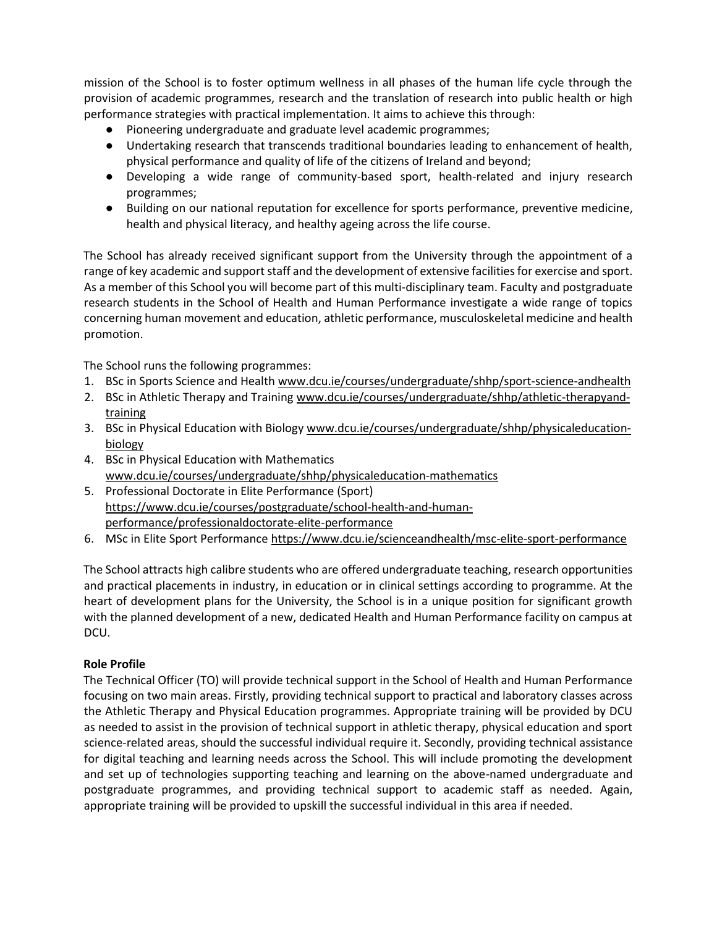mission of the School is to foster optimum wellness in all phases of the human life cycle through the provision of academic programmes, research and the translation of research into public health or high performance strategies with practical implementation. It aims to achieve this through:

- Pioneering undergraduate and graduate level academic programmes;
- Undertaking research that transcends traditional boundaries leading to enhancement of health, physical performance and quality of life of the citizens of Ireland and beyond;
- Developing a wide range of community-based sport, health-related and injury research programmes;
- Building on our national reputation for excellence for sports performance, preventive medicine, health and physical literacy, and healthy ageing across the life course.

The School has already received significant support from the University through the appointment of a range of key academic and support staff and the development of extensive facilities for exercise and sport. As a member of this School you will become part of this multi-disciplinary team. Faculty and postgraduate research students in the School of Health and Human Performance investigate a wide range of topics concerning human movement and education, athletic performance, musculoskeletal medicine and health promotion.

The School runs the following programmes:

- 1. BSc in Sports Science and Health [www.dcu.ie/courses/undergraduate/shhp/sport-science-andhealth](http://www.dcu.ie/courses/undergraduate/shhp/sport-science-and-health)
- 2. BSc in Athletic Therapy and Training [www.dcu.ie/courses/undergraduate/shhp/athletic-therapyand](http://www.dcu.ie/courses/undergraduate/shhp/athletic-therapy-and-training)[training](http://www.dcu.ie/courses/undergraduate/shhp/athletic-therapy-and-training)
- 3. BSc in Physical Education with Biology [www.dcu.ie/courses/undergraduate/shhp/physicaleducation](http://www.dcu.ie/courses/undergraduate/shhp/physical-education-biology)[biology](http://www.dcu.ie/courses/undergraduate/shhp/physical-education-biology)
- 4. BSc in Physical Education with Mathematics [www.dcu.ie/courses/undergraduate/shhp/physicaleducation-mathematics](http://www.dcu.ie/courses/undergraduate/shhp/physical-education-mathematics)
- 5. Professional Doctorate in Elite Performance (Sport) [https://www.dcu.ie/courses/postgraduate/school-health-and-human](https://www.dcu.ie/courses/postgraduate/school-health-and-human-performance/professional-doctorate-elite-performance)[performance/professionaldoctorate-elite-performance](https://www.dcu.ie/courses/postgraduate/school-health-and-human-performance/professional-doctorate-elite-performance)
- 6. MSc in Elite Sport Performanc[e https://www.dcu.ie/scienceandhealth/msc-elite-sport-performance](https://www.dcu.ie/scienceandhealth/msc-elite-sport-performance)

The School attracts high calibre students who are offered undergraduate teaching, research opportunities and practical placements in industry, in education or in clinical settings according to programme. At the heart of development plans for the University, the School is in a unique position for significant growth with the planned development of a new, dedicated Health and Human Performance facility on campus at DCU.

#### **Role Profile**

The Technical Officer (TO) will provide technical support in the School of Health and Human Performance focusing on two main areas. Firstly, providing technical support to practical and laboratory classes across the Athletic Therapy and Physical Education programmes. Appropriate training will be provided by DCU as needed to assist in the provision of technical support in athletic therapy, physical education and sport science-related areas, should the successful individual require it. Secondly, providing technical assistance for digital teaching and learning needs across the School. This will include promoting the development and set up of technologies supporting teaching and learning on the above-named undergraduate and postgraduate programmes, and providing technical support to academic staff as needed. Again, appropriate training will be provided to upskill the successful individual in this area if needed.